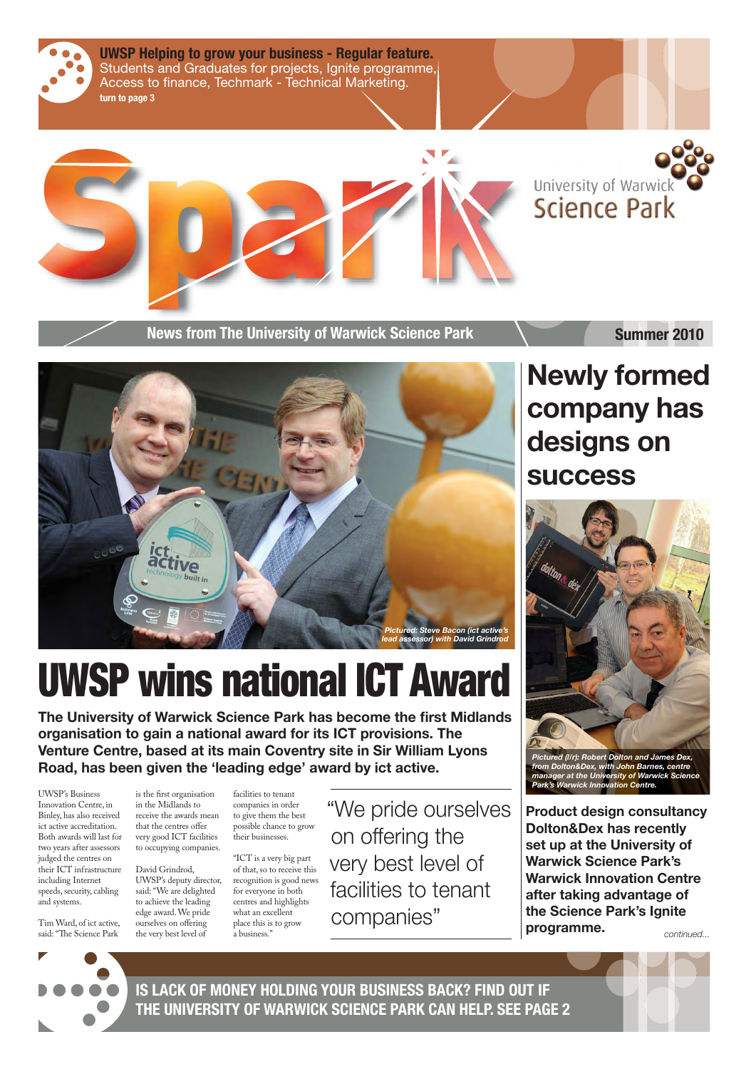



**News from The University of Warwick Science Park Maximum Summer 2010** 

**The University of Warwick Science Park has become the first Midlands organisation to gain a national award for its ICT provisions. The Venture Centre, based at its main Coventry site in Sir William Lyons Road, has been given the 'leading edge' award by ict active.**

# UWSP wins national ICT Award

Tim Ward, of ict active, said: "The Science Park

is the first organisation in the Midlands to receive the awards mean that the centres offer very good ICT facilities to occupying companies. facilities to tenant

UWSP's Business Innovation Centre, in

Binley, has also received ict active accreditation. Both awards will last for two years after assessors judged the centres on their ICT infrastructure including Internet speeds, security, cabling and systems.

David Grindrod, UWSP's deputy director, said: "We are delighted to achieve the leading edge award. We pride ourselves on offering the very best level of what an excellent place this is to grow a business."

companies in order to give them the best possible chance to grow their businesses. "ICT is a very big part of that, so to receive this recognition is good news for everyone in both centres and highlights

"We pride ourselves

on offering the very best level of facilities to tenant

companies"

## **Newly formed company has designs on success**

**Product design consultancy Dolton&Dex has recently set up at the University of Warwick Science Park's Warwick Innovation Centre after taking advantage of the Science Park's Ignite programme.** *continued...*





*Pictured (l/r): Robert Dolton and James Dex, from Dolton&Dex, with John Barnes, centre manager at the University of Warwick Science Park's Warwick Innovation Centre.*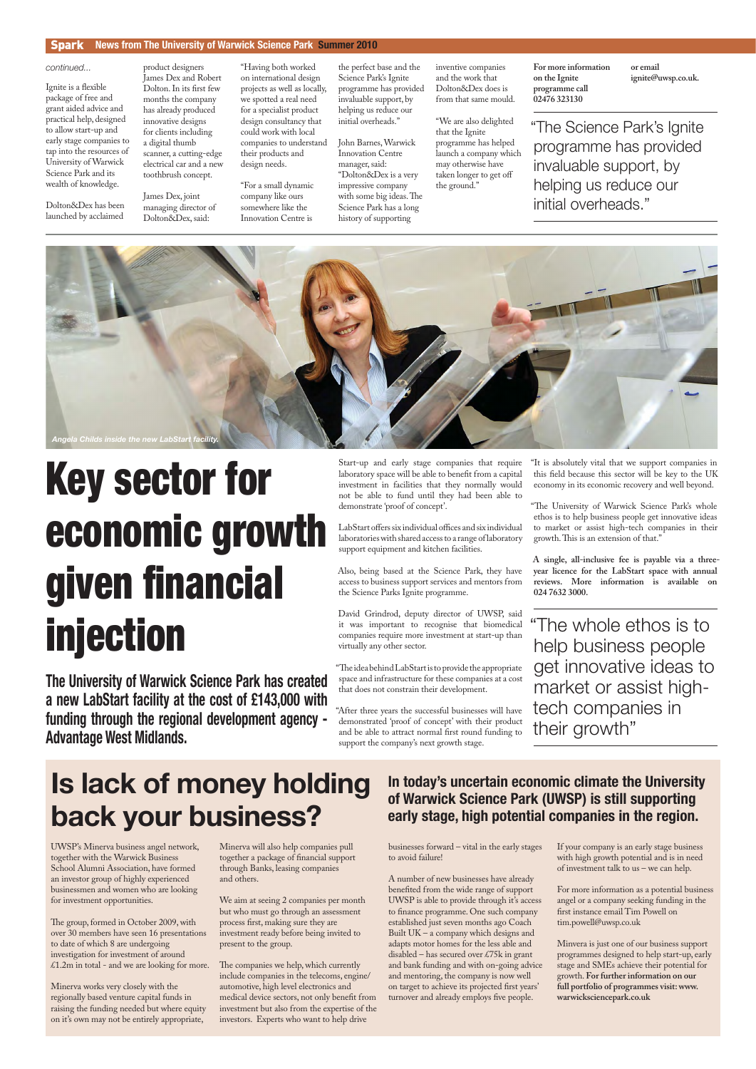UWSP's Minerva business angel network, together with the Warwick Business School Alumni Association, have formed an investor group of highly experienced businessmen and women who are looking for investment opportunities.

The group, formed in October 2009, with over 30 members have seen 16 presentations to date of which 8 are undergoing investigation for investment of around £1.2m in total - and we are looking for more.

Minerva works very closely with the regionally based venture capital funds in raising the funding needed but where equity on it's own may not be entirely appropriate,

The companies we help, which currently include companies in the telecoms, engine/ automotive, high level electronics and medical device sectors, not only benefit from investment but also from the expertise of the investors. Experts who want to help drive

A number of new businesses have already benefited from the wide range of support UWSP is able to provide through it's access to finance programme. One such company established just seven months ago Coach Built UK – a company which designs and adapts motor homes for the less able and disabled – has secured over £75k in grant and bank funding and with on-going advice and mentoring, the company is now well on target to achieve its projected first years' turnover and already employs five people.

Minerva will also help companies pull together a package of financial support through Banks, leasing companies and others.

We aim at seeing 2 companies per month but who must go through an assessment process first, making sure they are investment ready before being invited to present to the group.

businesses forward – vital in the early stages to avoid failure!

Ignite is a flexible package of free and grant aided advice and practical help, designed to allow start-up and early stage companies to tap into the resources of University of Warwick Science Park and its wealth of knowledge.

> If your company is an early stage business with high growth potential and is in need of investment talk to us – we can help.

For more information as a potential business angel or a company seeking funding in the first instance email Tim Powell on tim.powell@uwsp.co.uk

Minvera is just one of our business support programmes designed to help start-up, early stage and SMEs achieve their potential for growth. **For further information on our full portfolio of programmes visit: www. warwicksciencepark.co.uk**

LabStart offers six individual offices and six individual laboratories with shared access to a range of laboratory support equipment and kitchen facilities.

#### Spark **News from The University of Warwick Science Park Summer 2010**

## **Is lack of money holding back your business?**

"The idea behind LabStart is to provide the appropriate space and infrastructure for these companies at a cost that does not constrain their development.

Dolton&Dex has been launched by acclaimed

product designers James Dex and Robert Dolton. In its first few months the company has already produced innovative designs for clients including a digital thumb scanner, a cutting-edge electrical car and a new toothbrush concept.

James Dex, joint managing director of Dolton&Dex, said:

"Having both worked on international design projects as well as locally, we spotted a real need for a specialist product design consultancy that could work with local companies to understand their products and design needs.

"For a small dynamic company like ours somewhere like the Innovation Centre is

the perfect base and the Science Park's Ignite programme has provided invaluable support, by helping us reduce our initial overheads."

John Barnes, Warwick Innovation Centre manager, said: "Dolton&Dex is a very impressive company with some big ideas. The Science Park has a long history of supporting

inventive companies and the work that Dolton&Dex does is from that same mould.

"We are also delighted that the Ignite programme has helped launch a company which may otherwise have taken longer to get off the ground."

**For more information on the Ignite programme call 02476 323130** 

**or email ignite@uwsp.co.uk.**

Start-up and early stage companies that require laboratory space will be able to benefit from a capital investment in facilities that they normally would not be able to fund until they had been able to demonstrate 'proof of concept'.

Also, being based at the Science Park, they have access to business support services and mentors from the Science Parks Ignite programme.

David Grindrod, deputy director of UWSP, said it was important to recognise that biomedical companies require more investment at start-up than virtually any other sector.

"After three years the successful businesses will have demonstrated 'proof of concept' with their product and be able to attract normal first round funding to support the company's next growth stage.

"It is absolutely vital that we support companies in this field because this sector will be key to the UK economy in its economic recovery and well beyond.

"The University of Warwick Science Park's whole ethos is to help business people get innovative ideas to market or assist high-tech companies in their growth. This is an extension of that."

**A single, all-inclusive fee is payable via a threeyear licence for the LabStart space with annual reviews. More information is available on 024 7632 3000.** 

**The University of Warwick Science Park has created a new LabStart facility at the cost of £143,000 with funding through the regional development agency - Advantage West Midlands.**

"The whole ethos is to help business people get innovative ideas to market or assist hightech companies in their growth"

"The Science Park's Ignite programme has provided invaluable support, by helping us reduce our initial overheads."

*continued...*

# Key sector for economic growth given financial injection

**In today's uncertain economic climate the University of Warwick Science Park (UWSP) is still supporting** 

### **early stage, high potential companies in the region.**

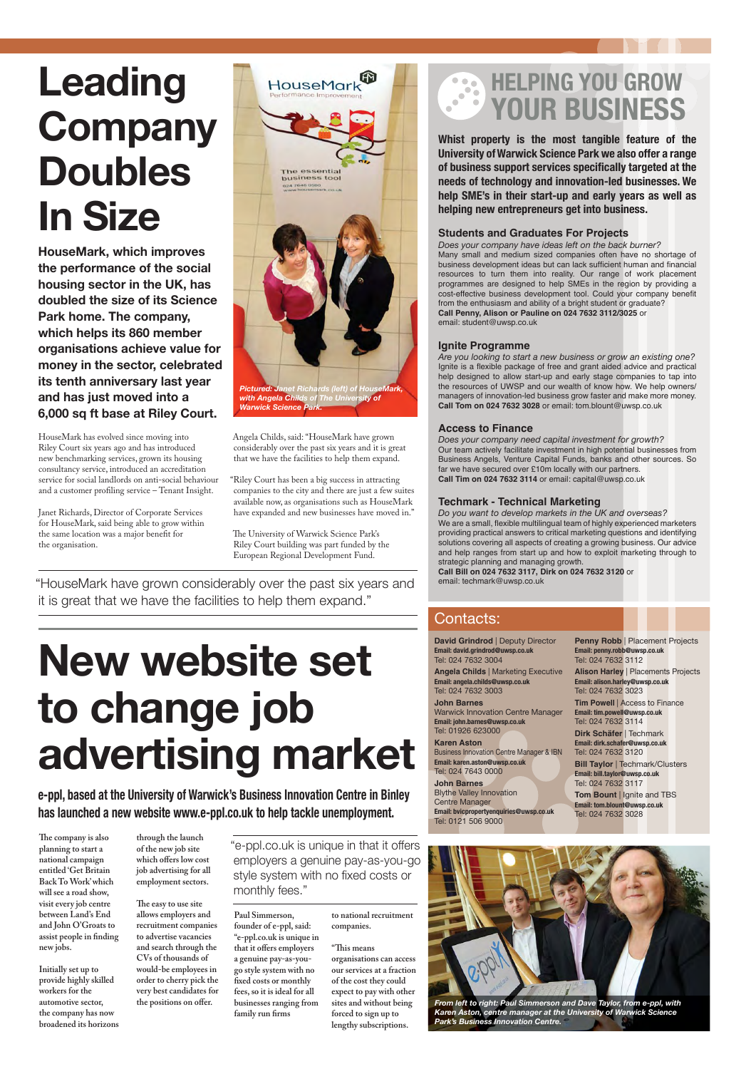**Whist property is the most tangible feature of the University of Warwick Science Park we also offer a range**  of business support services specifically targeted at the **needs of technology and innovation-led businesses. We help SME's in their start-up and early years as well as helping new entrepreneurs get into business.**

#### **Students and Graduates For Projects**

*Does your company have ideas left on the back burner?* Many small and medium sized companies often have no shortage of business development ideas but can lack sufficient human and financial resources to turn them into reality. Our range of work placement programmes are designed to help SMEs in the region by providing a cost-effective business development tool. Could your company benefit from the enthusiasm and ability of a bright student or graduate? **Call Penny, Alison or Pauline on 024 7632 3112/3025** or email: student@uwsp.co.uk

#### **Ignite Programme**

*Are you looking to start a new business or grow an existing one?* Ignite is a flexible package of free and grant aided advice and practical help designed to allow start-up and early stage companies to tap into the resources of UWSP and our wealth of know how. We help owners/ managers of innovation-led business grow faster and make more money. **Call Tom on 024 7632 3028** or email: tom.blount@uwsp.co.uk

#### **Access to Finance**

**Penny Robb** | Placement Projects **Email: penny.robb@uwsp.co.uk** Tel: 024 7632 3112

**Tim Powell** | Access to Finance **Email: tim.powell@uwsp.co.uk** Tel: 024 7632 3114

*Does your company need capital investment for growth?* Our team actively facilitate investment in high potential businesses from Business Angels, Venture Capital Funds, banks and other sources. So far we have secured over £10m locally with our partners. **Call Tim on 024 7632 3114** or email: capital@uwsp.co.uk

> **Bill Taylor | Techmark/Clusters Email: bill.taylor@uwsp.co.uk** Tel: 024 7632 3117

#### **Techmark - Technical Marketing**

The company is also **planning to start a national campaign entitled 'Get Britain Back To Work' which will see a road show, visit every job centre between Land's End and John O'Groats to**  assist people in finding **new jobs.**

*Do you want to develop markets in the UK and overseas?* We are a small, flexible multilingual team of highly experienced marketers providing practical answers to critical marketing questions and identifying solutions covering all aspects of creating a growing business. Our advice and help ranges from start up and how to exploit marketing through to strategic planning and managing growth.

**Paul Simmerson, founder of e-ppl, said: "e-ppl.co.uk is unique in**  that it offers employers **a genuine pay-as-yougo style system with no**  fixed costs or monthly **fees, so it is ideal for all businesses ranging from**  family run firms

**Call Bill on 024 7632 3117, Dirk on 024 7632 3120** or email: techmark@uwsp.co.uk

**David Grindrod** | Deputy Director **Email: david.grindrod@uwsp.co.uk** Tel: 024 7632 3004

**Angela Childs** | Marketing Executive **Email: angela.childs@uwsp.co.uk** Tel: 024 7632 3003

**John Barnes** Warwick Innovation Centre Manager **Email: john.barnes@uwsp.co.uk** Tel: 01926 623000

#### **Karen Aston**

HouseMark has evolved since moving into Riley Court six years ago and has introduced new benchmarking services, grown its housing consultancy service, introduced an accreditation service for social landlords on anti-social behaviour and a customer profiling service - Tenant Insight.

> Business Innovation Centre Manager & IBN **Email: karen.aston@uwsp.co.uk** Tel: 024 7643 0000

**John Barnes** Blythe Valley Innovation Centre Manager

**Email: bvicpropertyenquiries@uwsp.co.uk** Tel: 0121 506 9000

**Alison Harley** | Placements Projects **Email: alison.harley@uwsp.co.uk** Tel: 024 7632 3023

The University of Warwick Science Park's Riley Court building was part funded by the European Regional Development Fund.

> **Dirk Schäfer** | Techmark **Email: dirk.schafer@uwsp.co.uk** Tel: 024 7632 3120

**Tom Bount** | Ignite and TBS **Email: tom.blount@uwsp.co.uk**

Tel: 024 7632 3028

### **HELPING YOU GROW** 3 **YOUR BUSINESS**

### Contacts:

**Initially set up to provide highly skilled workers for the automotive sector, the company has now broadened its horizons** 

**through the launch of the new job site**  which offers low cost **job advertising for all employment sectors.**

The easy to use site **allows employers and recruitment companies to advertise vacancies and search through the CVs of thousands of would-be employees in order to cherry pick the very best candidates for**  the positions on offer.

**to national recruitment companies.**

**"Th is means organisations can access our services at a fraction of the cost they could expect to pay with other sites and without being forced to sign up to lengthy subscriptions.**

**e-ppl, based at the University of Warwick's Business Innovation Centre in Binley** 

#### **has launched a new website www.e-ppl.co.uk to help tackle unemployment.**

# **Leading Company Doubles In Size**

**HouseMark, which improves the performance of the social housing sector in the UK, has doubled the size of its Science Park home. The company, which helps its 860 member organisations achieve value for money in the sector, celebrated its tenth anniversary last year and has just moved into a 6,000 sq ft base at Riley Court.**

Janet Richards, Director of Corporate Services for HouseMark, said being able to grow within the same location was a major benefit for the organisation.

Angela Childs, said: "HouseMark have grown considerably over the past six years and it is great that we have the facilities to help them expand.

"Riley Court has been a big success in attracting companies to the city and there are just a few suites available now, as organisations such as HouseMark have expanded and new businesses have moved in."

"HouseMark have grown considerably over the past six years and it is great that we have the facilities to help them expand."

# **New website set to change job advertising market**

"e-ppl.co.uk is unique in that it offers employers a genuine pay-as-you-go style system with no fixed costs or monthly fees."





*From left to right: Paul Simmerson and Dave Taylor, from e-ppl, with Karen Aston, centre manager at the University of Warwick Science Park's Business Innovation Centre.*